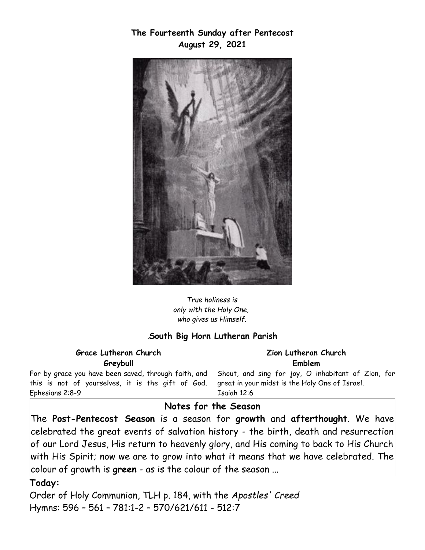**The Fourteenth Sunday after Pentecost August 29, 2021**



*True holiness is only with the Holy One, who gives us Himself.*

#### *.***South Big Horn Lutheran Parish**

**Grace Lutheran Church Greybull**

**Zion Lutheran Church Emblem**

For by grace you have been saved, through faith, and this is not of yourselves, it is the gift of God. Ephesians 2:8-9

Shout, and sing for joy, O inhabitant of Zion, for great in your midst is the Holy One of Israel. Isaiah 12:6

### **Notes for the Season**

The **Post-Pentecost Season** is a season for **growth** and **afterthought**. We have celebrated the great events of salvation history - the birth, death and resurrection of our Lord Jesus, His return to heavenly glory, and His coming to back to His Church with His Spirit; now we are to grow into what it means that we have celebrated. The colour of growth is **green** - as is the colour of the season ...

#### **Today:**

Order of Holy Communion, TLH p. 184, with the *Apostles' Creed*  Hymns: 596 – 561 – 781:1-2 – 570/621/611 - 512:7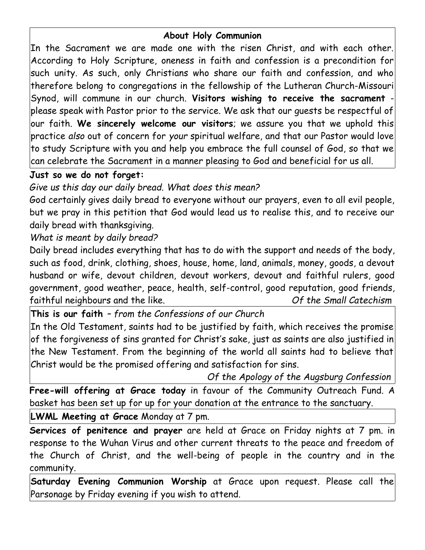# **About Holy Communion**

In the Sacrament we are made one with the risen Christ, and with each other. According to Holy Scripture, oneness in faith and confession is a precondition for such unity. As such, only Christians who share our faith and confession, and who therefore belong to congregations in the fellowship of the Lutheran Church-Missouri Synod, will commune in our church. **Visitors wishing to receive the sacrament** please speak with Pastor prior to the service. We ask that our guests be respectful of our faith. **We sincerely welcome our visitors**; we assure you that we uphold this practice *also* out of concern for *your* spiritual welfare, and that our Pastor would love to study Scripture with you and help you embrace the full counsel of God, so that we can celebrate the Sacrament in a manner pleasing to God and beneficial for us all.

# **Just so we do not forget:**

*Give us this day our daily bread. What does this mean?*

God certainly gives daily bread to everyone without our prayers, even to all evil people, but we pray in this petition that God would lead us to realise this, and to receive our daily bread with thanksgiving.

*What is meant by daily bread?*

Daily bread includes everything that has to do with the support and needs of the body, such as food, drink, clothing, shoes, house, home, land, animals, money, goods, a devout husband or wife, devout children, devout workers, devout and faithful rulers, good government, good weather, peace, health, self-control, good reputation, good friends, faithful neighbours and the like. *Of the Small Catechism*

**This is our faith** *– from the Confessions of our Church* In the Old Testament, saints had to be justified by faith, which receives the promise of the forgiveness of sins granted for Christ's sake, just as saints are also justified in the New Testament. From the beginning of the world all saints had to believe that Christ would be the promised offering and satisfaction for sins.

 *Of the Apology of the Augsburg Confession*

**Free-will offering at Grace today** in favour of the Community Outreach Fund. A basket has been set up for up for your donation at the entrance to the sanctuary.

**LWML Meeting at Grace** Monday at 7 pm.

**Services of penitence and prayer** are held at Grace on Friday nights at 7 pm. in response to the Wuhan Virus and other current threats to the peace and freedom of the Church of Christ, and the well-being of people in the country and in the community.

**Saturday Evening Communion Worship** at Grace upon request. Please call the Parsonage by Friday evening if you wish to attend.